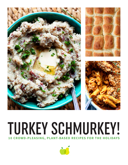

## TURKEY SCHMURKEY! **10 CROWD-PLEASING, PLANT-BASED RECIPES FOR THE HOLIDAYS**

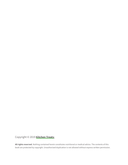Copyright © 2019 **[Kitchen Treaty](http://www.kitchentreaty.com)**.

**All rights reserved.** Nothing contained herein constitutes nutritional or medical advice. The contents of this book are protected by copyright. Unauthorized duplication is not allowed without express written permission.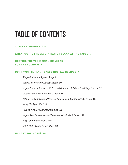## TABLE OF CONTENTS

### **[TURKEY SCHMURKEY!](#page-3-0) 4**

### **[WHEN YOU'RE THE VEGETARIAN OR VEGAN AT THE TABLE](#page-4-0) 5**

### **[HOSTING THE VEGETARIAN OR VEGAN](#page-5-0)  [FOR THE HOLIDAYS](#page-5-0) 6**

### **[OUR FAVORITE PLANT-BASED HOLIDAY RECIPES](#page-6-0) 7**

*[Simple Butternut Squash Soup](#page-7-0)* **8** *[Rustic Sweet Potato & Beet Galette](#page-9-0)* **10** *[Vegan Pumpkin Risotto with Toasted Hazelnuts & Crispy Fried Sage Leaves](#page-11-0)* **12** *[Creamy Vegan Butternut Pasta Bake](#page-13-0)* **14** *[Wild Rice & Lentil Stuffed Delicata Squash with Cranberries & Pecans](#page-15-0)* **16** *[Nutty Chickpea Pilaf](#page-17-0)* **18** *[Herbed Wild Rice & Quinoa Stuffing](#page-18-0)* **19** *[Vegan Slow Cooker Mashed Potatoes with Garlic & Chives](#page-19-0)* **20** *[Easy Vegetarian Onion Gravy](#page-20-0)* **21** *[Soft & Fluffy Vegan Dinner Rolls](#page-21-0)* **22**

**[HUNGRY FOR MORE?](#page-23-0) 24**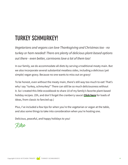## <span id="page-3-0"></span>TURKEY SCHMURKEY!

*Vegetarians and vegans can love Thanksgiving and Christmas too - no turkey or ham needed! There are plenty of delicious plant-based options out there - even better, carnivores love a lot of them too!*

In our family, we do accommodate all diets by serving a traditional meaty main. But we also incorporate several substantial meatless sides, including a delicious (yet simple) vegan gravy. Because no one wants to miss out on gravy!

To be honest, even without the meaty main, there's still way too much to eat! That's why I say "turkey, schmurkey!" There can still be so much deliciousness without it. So I created this little ecookbook to share 10 of my family's favorite plant-based holiday recipes. (Oh, and don't forget the cranberry sauce! **[Click here](https://www.kitchentreaty.com/category/all-recipes/sauces-jams-condiments/cranberry-sauce/)** for loads of ideas, from classic to fancied up.)

Plus, I've included a few tips for when you're the vegetarian or vegan at the table, and also some things to take into consideration when you're hosting one.

Delicious, peaceful, and happy holidays to you!

K ane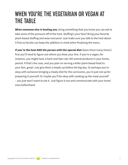## <span id="page-4-0"></span>WHEN YOU'RE THE VEGETARIAN OR VEGAN AT THE TABLE

**When someone else is hosting you**, bring something that you know you can eat to take some of the pressure off of the host. Stuffing's your fave? Bring your favorite plant-based stuffing and wow everyone! Just make sure you talk to the host about it first so he/she can keep the addition in mind when finalizing the menu.

**If you're the host AND the person with the special diet** (been there many times!) first you'll need to figure out where you draw your line. If you're a vegan, for instance, you might have a hard-and-fast rule: NO animal products in your home, period. If that's the case, and you plan on serving a killer plant-based feast to your fam, great! Just give them a heads-up before the big day. Or perhaps you're okay with someone bringing a meaty dish for the carnivores, you're just not up for preparing it yourself. Or maybe you'll be okay with cooking up the meat yourself – you just won't want to eat it. Just figure it out and communicate with your loved ones beforehand.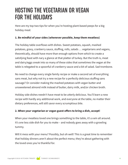## <span id="page-5-0"></span>HOSTING THE VEGETARIAN OR VEGAN FOR THE HOLIDAYS

Here are my top two tips for when you're hosting plant-based peeps for a big holiday meal:

## **1. Be mindful of your sides (whenever possible, keep them meatless)**

The holiday table overflows with dishes. Sweet potatoes, squash, mashed potatoes, gravy, cranberry sauce, stuffing, rolls, salads … vegetarians and vegans, theoretically, should have more than enough options from which to create a satisfying feast with nary a glance at that platter of turkey. But the truth is, meat and dairy/eggs sneak into so many of these sides that sometimes the vegan at the table is relegated to a spoonful of cranberry sauce and a bit of salad. Sad trombone.

No need to change every single family recipe or make a second set of everything sans meat, but why not try a new recipe for a perfectly delicious stuffing sans sausage? Or consider making the mashed potatoes with vegan butter and unsweetened almond milk instead of butter, dairy milk, and/or chicken broth.

Holiday side dishes needn't have meat to be utterly delicious. You'll learn a new recipe with hardly any additional work, and everyone at the table, no matter their dietary preferences, will still savor every scrumptious bite.

## **2. When your vegetarian or vegan guest offers to bring a dish, accept!**

When your meatless loved one brings something to the table, it's a win all around. It's one less side dish for you to make – and nobody goes away with a growling tummy.

Will it mess with your menu? Possibly, but oh well! This is a great time to remember that holiday dinners aren't about the perfect menu; they're about gathering with the loved ones you're thankful for.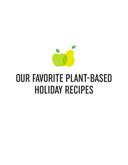<span id="page-6-0"></span>

# OUR FAVORITE PLANT-BASED HOLIDAY RECIPES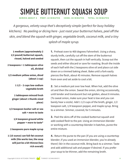## <span id="page-7-0"></span>SIMPLE BUTTERNUT SQUASH SOUP

**SERVES ABOUT 4 PREP: 10 MINUTES COOK: 40 MINUTES TOTAL: 50 MINUTES**

*A gorgeous, velvety soup that's deceptively simple (perfect for busy holiday kitchens). No peeling or dicing here - just roast your butternut halves, peel off the skin, and blend the squash with ginger, vegetable broth, coconut milk, and a tiny splash of maple syrup.* 

**1 medium (approximately 2 1/2 pound) butternut squash, rinsed, halved and seeded**

**2 teaspoons + 1 tablespoon olive oil, divided**

**1/2 medium yellow onion, diced (about 1 cup)**

> **1 1/2 – 2 cups low-sodium vegetable broth**

**1 tablespoon minced fresh ginger (about 1 thumb-sized piece)**

**1/2 teaspoon kosher salt or sea salt + more to taste**

> **1/4 teaspoon ground white pepper + more to taste\***

**2 teaspoons pure maple syrup**

**1 (15-ounce) can full-fat coconut milk (lite works too; the soup will just be a bit thinner/less rich overall)**

**1.** Preheat oven to 400 degrees Fahrenheit. Using a sharp, sturdy knife, carefully cut off the stem of the butternut squash, then cut the squash in half vertically. Scoop out the seeds and either discard or save for roasting. Brush the inside of each half with the 2 teaspoons olive oil and place cut side down on a rimmed baking sheet. Bake until a fork easily pierces the flesh, about 45 minutes. Remove squash halves from oven and set aside to cool a bit.

**2.** Set a medium pot over low heat. When hot, add the olive oil and then the onion. Sweat the onion, stirring occasionally, until tender and translucent but not golden, about 8 minutes. (To sweat onion, make sure your heat is low and you can barely hear a sizzle). Add 1 1/2 cups of the broth, ginger, 1/2 teaspoon salt, 1/4 teaspoon pepper, and maple syrup. Bring to a simmer. Simmer, covered, for 5 minutes.

**3.** Peel the skins off of the cooked butternut squash and add cooked flesh to the pot. Using an immersion blender or working with a countertop blender in batches, puree the entire mixture.

**4.** Return the puree to the pan (if you are using a countertop blender; if you used an immersion blender, you're already there!) Stir in the coconut milk. Bring back to a simmer. Taste and add additional salt and pepper if desired. If you prefer your soup to be thinner, add the remaining broth.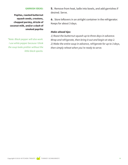#### **GARNISH IDEAS:**

**Pepitas, roasted butternut squash seeds, croutons, chopped parsley, drizzle of coconut milk, and/or a dash of smoked paprika**

*\*Note: Black pepper will also work. I use white pepper because I think the soup looks prettier without the little black specks.*

**5.** Remove from heat, ladle into bowls, and add garnishes if desired. Serve.

**6.** Store leftovers in an airtight container in the refrigerator. Keeps for about 3 days.

### *Make-ahead tips:*

*1) Roast the butternut squash up to three days in advance. Wrap and refrigerate, then bring it out and begin at step 2. 2) Make the entire soup in advance, refrigerate for up to 3 days, then simply reheat when you're ready to serve.*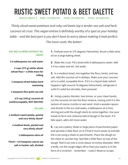<span id="page-9-0"></span>RUSTIC SWEET POTATO & BEET GALETTE

**SERVES ABOUT 6 PREP: 20 MINUTES COOK: 40 MINUTES TOTAL: 60 MINUTES**

*Thinly sliced sweet potatoes and ruby-red beets top a tender sea salt and herb coconut oil crust. This vegan entree is definitely worthy of a spot at your holiday table – and the best part is you don't have to worry about making it look perfect. The more rustic the better!*

## **SEA SALT & HERB COCONUT OIL CRUST**

**3-6 tablespoons ice cold water**

**2 cups (272 g) white whole wheat flour + a little more for rolling**

**1 teaspoon dried Italian herb seasoning**

**1 teaspoon fine-grain sea salt**

**2/3 cup (160 g) coconut oil (solid/scoopable, NOT MELTED)**

### **FILLING**

**1 medium sweet potato, peeled and very thinly sliced\***

> **2 medium beets, peeled and very thinly sliced\***

> > **2 tablespoons olive oil**

**Pinch + 1/4 teaspoon coarse sea salt or kosher salt, divided** **1.** Preheat oven to 375 degrees Fahrenheit. Brush a little olive oil on a large baking sheet.

**2.** Make the crust. Fill a bowl with 6 tablespoons water. Add 3-4 ice cubes and stir. Set aside.

**3.** In a medium bowl, mix together the flour, herbs, and sea salt. Add the coconut oil in dollops. Make sure your coconut oil is in solid, scoopable form. If it's in a liquid state (which happens right around 76 degrees Fahrenheit), refrigerate it until it's solid but stirrable, then proceed.

**4.** Using a pastry blender, two knives, or your clean hands, cut the coconut oil into the flour mixture, mixing until it is the texture of coarse crumbs or wet sand. Grab a wooden spoon and drizzle in the ice-cold water, a tablespoon at a time, stirring just until the dough starts to come together. Use your hands to form one cohesive ball of dough in the bowl. If it falls apart, add a bit more water.

**5.** Lay out a pastry sheet or large piece of parchment paper and sprinkle a little flour on it (I find it much easier to transfer the crust using a sheet or parchment). Place the dough on the sheet or counter top. Sprinkle a little flour on top of the dough. Roll it out into a circle about 14 inches diameter. With a knife, cut the rough edges off so that your pastry is in the form of a circle(ish – remember – rustic!) Reserve scraps.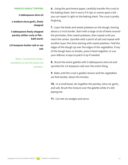#### **PARSLEY-GARLIC TOPPING**

**2 tablespoons olive oil**

**1 medium clove garlic, finely chopped**

**3 tablespoons finely chopped parsley (either curly or flat – both work)**

**1/8 teaspoon kosher salt or sea salt**

*\*Note: I recommend using a mandoline to slice the beets and potatoes.*

**6.** Using the parchment paper, carefully transfer the crust to the baking sheet. Don't worry if it rips or comes apart a bit – you can repair it right on the baking sheet. The crust is pretty forgiving.

**7.** Layer the beets and sweet potatoes on the dough, leaving about a 2-inch border. Start with a large circle of beets around the perimeter, then sweet potatoes, then repeat until you reach the center. Sprinkle with a pinch of salt and repeat with another layer, this time starting with sweet potatoes. Fold the edges of the dough up over the edges of the vegetables. If any of the dough tears or breaks, press it back together, or use your leftover scraps to patch it up if needed.

**8.** Brush the entire galette with 2 tablespoons olive oil and sprinkle the 1/4 teaspoon salt over the entire thing.

**9.** Bake until the crust is golden-brown and the vegetables are fork-tender, about 40 minutes.

**10.** In a small bowl, stir together the parsley, olive oil, garlic, and salt. Brush the mixture over the galette while it's still piping hot.

**11.** Cut into six wedges and serve.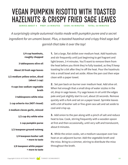## <span id="page-11-0"></span>VEGAN PUMPKIN RISOTTO WITH TOASTED HAZELNUTS & CRISPY FRIED SAGE LEAVES

**SERVES ABOUT 4 PREP: 10 MINUTES COOK: 40 MINUTES TOTAL: 50 MINUTES**

*A surprisingly simple autumnal risotto made with pumpkin puree and a secret ingredient for an umami boost. Plus, a toasted hazelnut and crispy fried sage leaf garnish that take it over the top!*

## **1/4 cup hazelnuts, roughly chopped 3 tablespoons olive oil About 20 fresh sage leaves 1/2 medium yellow onion, diced (about 1 cup) 4 cups low-sodium vegetable broth 3 tablespoons white miso 1 cup arborio rice (NOT rinsed) 2 medium cloves garlic, minced 1/2 cup dry white wine 1 cup pumpkin puree 1/2 teaspoon ground nutmeg 1/4 teaspoon kosher salt + more to taste 1/8 teaspoon white pepper**

**1.** Set a large, flat skillet over medium heat. Add hazelnuts and stir frequently until just beginning to get fragrant and light brown, 3-4 minutes. You'll want to remove them from the heat before you think they're fully toasted, as they'll keep toasting for a bit after they're off the heat. Pour the hazelnuts into a small bowl and set aside. Allow the pan cool then wipe clean with a paper towel.

**2.** Set pan back on burner over medium heat. Add olive oil. When hot enough that a small drop of water sizzles in the oil, drop in sage leaves. Fry sage leaves in oil until the edges pale and just slightly start to curl, about 20 seconds. Remove quickly with a fork and set on a paper towel. Sprinkle leaves with a bit of kosher salt or fine-grain sea salt and set aside to cool and crisp up.

**3.** Add onion to the pan along with a pinch of salt and reduce heat to low. Cook, stirring frequently with a wooden spoon at first and then occasionally, until very soft and translucent, about 8 minutes.

**4.** While the onion cooks, set a medium saucepan over low heat on an adjacent burner. Add the vegetable broth and the miso. Bring to a simmer, stirring to distribute the miso throughout the broth.

**+ more to taste**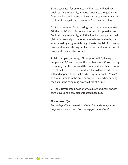**5.** Increase heat for onions to medium low and add rice. Cook, stirring frequently, until rice begins to turn golden in a few spots here and there and it smells nutty, 4-5 minutes. Add garlic and cook, stirring constantly, for one more minute.

**6.** Stir in the wine. Cook, stirring, until the wine evaporates. Stir the broth/miso mixture and then add 1 cup to the rice. Cook, stirring frequently, until the liquid is mostly absorbed (3-4 minutes) and your wooden spoon leaves a starchy trail when you drag a figure-8 through the risotto. Add 1 more cup broth and repeat, stirring until absorbed. Add another cup of broth and cook until absorbed.

**7.** Add pumpkin, nutmeg, 1/4 teaspoon salt, 1/8 teaspoon pepper, and 1/2 cup more of the broth mixture. Cook, stirring frequently, until creamy and the rice is al dente. Taste risotto to test that the rice is done and see if you'd like to add more salt and pepper. If the risotto is too dry (you want it "loose" – so that it spreads in the bowl or on your plate when serving) then stir in the remaining broth, a little at a time.

**8.** Ladle risotto into bowls or onto a plate and garnish with sage leaves and a few bits of toasted hazelnut.

### *Make-ahead tips:*

*Risotto is pretty much best right after it's made, but you can prep the hazelnuts and chop the veggies beforehand.*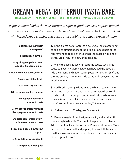## <span id="page-13-0"></span>CREAMY VEGAN BUTTERNUT PASTA BAKE

**SERVES ABOUT 6 PREP: 15 MINUTES COOK: 55 MINUTES TOTAL: 1 HOUR 10 MINUTES**

*Vegan comfort food to the max. Butternut squash, garlic, smoked paprika pureed into a velvety sauce that smothers al dente whole wheat penne. And then sprinkled with herbed bread crumbs, and baked until bubbly and golden-brown. Mmmm.*

### **8 ounces whole wheat penne pasta\***

**1 tablespoon olive oil**

**1 cup chopped yellow onion (about 1/2 medium onion)**

**2 medium cloves garlic, minced**

**2 cups vegetable broth**

**1 teaspoon dry mustard**

**1/2 teaspoon smoked paprika**

**1/4 teaspoon kosher salt + more to taste**

**1/8 teaspoon freshly ground black pepper + more to taste**

**1 tablespoon Tamari or lowsodium soy sauce, to taste**

**4 cups diced peeled butternut squash**

**1/2 cup full-fat coconut milk**

**2 teaspoons lemon juice**

**1.** Bring a large pot of water to a boil. Cook pasta according to package directions, stopping 1 to 2 minutes short of the recommended cooking time so that the pasta is nice and al dente. Drain, return to pot, and set aside.

**2.** While the pasta is cooking, start the sauce. Set a large saute pan over medium heat. When hot, add the olive oil. Add the onions and saute, stirring occasionally, until soft and turning brown, 7-8 minutes. Add garlic and cook, stirring, for another minute.

**3.** Add broth, stirring to loosen up the bits of cooked onion at the bottom of the pan. Stir in the dry mustard, smoked paprika, salt, black pepper, and Tamari. Add the butternut squash. Bring to a boil. Reduce to a simmer and cover the pan. Cook until the squash is tender, 7-8 minutes.

**4.** Preheat oven to 350 degrees Fahrenheit.

**5.** Remove veggies from heat, remove lid, and let sit until cool enough to handle. Transfer to the pitcher of a blender. Add coconut milk and lemon juice. Puree until smooth. Taste and add additional salt and pepper, if desired. If the sauce is too thick to move around in the blender, thin it with a little more vegetable broth.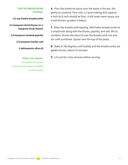### **FOR THE BREADCRUMB TOPPING:**

**1/2 cup Panko breadcrumbs**

**1/2 teaspoon dried thyme (or 1 teaspoon fresh thyme)**

**1/4 teaspoon smoked paprika**

**1/4 teaspoon kosher salt**

**2 tablespoons olive oil**

*Gluten Free Option: Use gluten-free pasta (I recommend brown rice pasta for this recipe)* **6.** Pour the butternut sauce over the pasta in the pot. Stir gently to combine. Pour into a 2-quart baking dish (approx. 8-inch by 8-inch should be fine). It will seem seem soupy, but it will thicken up when it bakes!

**7.** Make the breadcrumb topping. Add Panko breadcrumbs to a small bowl along with the thyme, paprika, and salt. Mix to combine. Drizzle the olive oil over the breadcrumb mix and stir until combined. Spoon over the top of the pasta.

**8.** Bake at 350 degrees until bubbly and the breadcrumbs are golden brown, about 25 minutes.

**9.** Let cool for a few minutes before serving.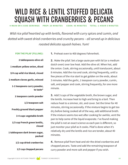## <span id="page-15-0"></span>WILD RICE & LENTIL STUFFED DELICATA SQUASH WITH CRANBERRIES & PECANS

**4 MAIN OR 6 SIDE SERVINGS PREP: 20 MINUTES COOK: 45 MINUTES TOTAL: 1 HOUR 5 MINUTES**

*Wild rice pilaf heartied up with lentils, flavored with curry spices and cumin, and dotted with sweet dried cranberries and crunchy pecans – all served up in delicious roasted delicata squash halves. Yum!*

### **FOR THE PILAF (FILLING):**

**2 tablespoons olive oil 1 medium yellow onion, diced 3/4 cup wild rice blend, rinsed 2 medium cloves garlic, minced 1-2 teaspoons curry powder, to taste\* 1 teaspoon cumin powder 1/2 teaspoon salt Freshly ground black pepper 3-4 cups vegetable broth 1/3 cup French green lentils, rinsed 1 tablespoon dark brown sugar, packed 1/2 cup dried cranberries 1/3 cup chopped pecans** **1.** Preheat oven to 400 degrees Fahrenheit.

**2.** Make the pilaf. Set a large saute pan with lid (or a medium dutch oven) over low heat. Add the olive oil. When hot, add the onion. Cook, stirring occasionally, until translucent, about 8 minutes. Add the rice and cook, stirring frequently, until a few pieces of the rice start to get golden on the ends, about 3 minutes. Add the garlic, 1 teaspoon curry powder, cumin, salt, and pepper and cook, stirring frequently, for one more minute.

**3.** Add 3 cups of the vegetable broth, the brown sugar, and the lentils. Increase heat to high and bring to a boil. Then reduce heat to a simmer, stir, and cover. Set the timer for 40 minutes, stirring occasionally. If the mixture begins to get too dry before being cooked all of the way, add additional broth. If the mixture seems too wet after cooking for awhile, vent the pan to help some of the liquid evaporate. I've found making the pilaf is not an exact science as each pan is different, so just monitor your pilaf as it cooks. Pilaf is done when it's relatively dry and the lentils and rice are tender, about 40 minutes.

**4.** Remove pilaf from heat and stir the dried cranberries and chopped pecans. Taste and add the remaining teaspoon of curry powder and more salt and pepper if you wish.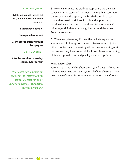#### **FOR THE SQUASH:**

**3 delicata squash, stems cut off, halved vertically, seeds removed**

**1 tablespoon olive oil**

**1/2 teaspoon kosher salt**

**1/4 teaspoon freshly ground black pepper**

#### **FOR THE GARNISH:**

**A few leaves of fresh parsley, chopped, for garnish**

*\*The heat in curry powders can really vary, so I recommend you start with 1 teaspoon and, if you'd like a bit more, add another teaspoon at the end.*

**5.** Meanwhile, while the pilaf cooks, prepare the delicata squash. Cut the stems off the ends, half lengthwise, scrape the seeds out with a spoon, and brush the inside of each half with olive oil. Sprinkle with salt and pepper and place cut side down on a large baking sheet. Bake for about 20 minutes, until fork-tender and golden around the edges. Remove from oven.

**6.** When ready to serve, flip over the delicata squash and spoon pilaf into the squash halves. I like to mound it just a bit but not too much or serving will become interesting (as in messy). You may have some pilaf left over. Transfer to serving plate and sprinkle chopped parsley over the top. Serve.

### *Make-ahead tips:*

*You can make the pilaf and roast the squash ahead of time and refrigerate for up to two days. Spoon pilaf into the squash and bake at 350 degrees for 20-25 minutes to warm them through.*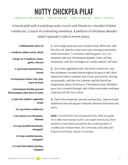## NUTTY CHICKPEA PILAF

<span id="page-17-0"></span>**4 MAIN OR 6 SIDE SERVINGS PREP: 20 MINUTES COOK: 40 MINUTES TOTAL: 1 MINUTES**

*A hearty pilaf with a satisfying nutty crunch and, thanks to a handful of dried cranberries, a touch of contrasting sweetness. A plethora of chickpeas elevates what's typically a side to entree status.* 

**2 tablespoons olive oil**

**1 medium yellow onion, diced**

**2 large (or 3 medium) cloves garlic, minced**

**1 cup brown Basmati rice, rinsed**

**1/4 teaspoon kosher salt, plus more to taste**

**1/8 teaspoon freshly ground black pepper, plus more to taste**

> **2 cups low-sodium vegetable broth**

> > **1/2 cup dried cranberries**

**1 (15-ounce) can chickpeas, drained**

**1/3 cup unsalted hazelnuts, chopped\***

> **1/3 cup unsalted pecans, chopped\***

**1/2 cup fresh Italian parsley, chopped**

**1.** Set a large saute pan over medium heat. When hot, add the olive oil. Add the onion and cook, stirring occasionally, until translucent, 7-8 minutes. Add the garlic, rice, 1/4 teaspoon salt and 1/8 teaspoon pepper. Cook, stirring frequently, until the rice begins to crackle, about 2 minutes.

**2.** Stir in the vegetable broth, the dried cranberries, and the chickpeas. Increase heat to high to bring to a boil, then reduce the heat to medium-low. Cover and simmer, stirring occasionally, until the rice is tender and the liquid has evaporated, about 35 minutes. If the liquid cooks off before your rice is cooked through, add a little more water and keep cooking until the rice is done.

**3.** Fold in the hazelnuts, pecans, and parsley. Taste and add additional salt and pepper if desired. Remove from heat and serve.

*Note: I've used both raw and toasted nuts; both are great. For a little more toasty crunch, you might want to buy them toasted or toast them yourself by dry-sauteeing them in a skillet over medium heat. Stir constantly and cook until fragrant and toasty, about 4-5 minutes.*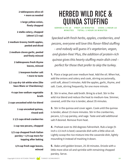<span id="page-18-0"></span>**2 tablespoons olive oil + more as needed**

**1 large yellow onion, finely chopped**

**2 stalks celery, chopped (about 1/2 cup)**

**2 medium Granny Smith apples, peeled and diced**

**2 medium cloves garlic, peeled and finely minced**

> **2 tablespoons fresh thyme leaves, minced**

> > **1 teaspoon kosher salt + more to taste**

**1/2 cup dry-ish white wine (like Sauv Blanc or Chardonnay)**

**4 cups low-sodium vegetable broth**

**2 cups uncooked wild rice blend** 

**1 cup uncooked quinoa, rinsed well**

**1 1/2 cups dried cranberries**

**1 cup raw pecans, chopped**

**1/2 cup chopped fresh Italian parsley + 1/4 cup more for topping after baking**

> **1/4 cup fresh sage leaves, minced**

## HERBED WILD RICE & QUINOA STUFFING

**SERVES 8 TO 10 PREP: 20 MINUTES COOK: 1 HOUR 10 MINUTES TOTAL: 1 HOUR 30 MINUTES**

*Specked with fresh herbs, apples, cranberries, and pecans, everyone will love this flavor-filled stuffing – and nobody will guess it's vegetarian, vegan, and gluten-free! Plus, the addition of protein-rich quinoa gives this hearty stuffing main-dish cred – perfect for those that prefer to skip the turkey.*

**1.** Place a large pot over medium heat. Add the oil. When hot, add the onions and celery and cook, stirring occasionally, until soft, about 5 minutes. Add the apples, garlic, thyme, and salt. Cook, stirring frequently, for one more minute.

**2.** Stir in wine, then add broth. Bring to a boil. Stir in the wild rice blend and reduce the heat to medium-low. Simmer, covered, until the rice is tender, about 35 minutes.

**3.** Stir in the quinoa and cover again. Cook until the quinoa is tender, about 15 more minutes. Stir in the cranberries, pecans, 1/2 cup parsley, and sage. Taste and add additional salt if desired. Remove from heat.

**4.** Preheat oven to 350 degrees Fahrenheit. Rub a large (9 inch x 13-inch is best) casserole dish with a little olive oil. Lightly scoop the rice mixture into the casserole dish, lightly mounding it instead of mashing it down.

**5.** Bake until golden brown, 25-30 minutes. Drizzle with a little more olive oil and sprinkle with remaining chopped parsley. Serve.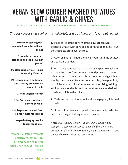## <span id="page-19-0"></span>VEGAN SLOW COOKER MASHED POTATOES WITH GARLIC & CHIVES

**SERVES 6 TO 8 PREP: 15 MINUTES COOK: 8 HOURS TOTAL: 8 HOURS 15 MINUTES**

*The easy peasy slow cooker mashed potatoes we all know and love – but vegan!*

**10 medium cloves garlic, separated from the bulb and peeled**

**3 pounds red potatoes, scrubbed and cut into 2-inch pieces\***

**2 tablespoons olive oil + more for serving if desired**

**1/2 teaspoon salt + additional salt & freshly ground black pepper to taste**

**1/3 cup vegetable broth**

**1/3 – 3/4 cup unsweetened almond soy milk**

**2 tablespoons chopped fresh chives + more for topping**

> **Vegan buttery spread for topping (optional)**

*\*If you prefer smoother mashed potatoes, you can peel your potatoes. I like the bits of red potato skin in mine, so I leave the skin on.*

**1.** Place garlic at the bottom of the slow cooker. Add potatoes. Drizzle with olive oil and sprinkle on the salt. Pout the vegetable broth over the top.

**2.** Cook on high 3 – 4 hours or low 8 hours, until the potatoes and garlic are tender.

**3.** Mash the potatoes! You can either use a potato masher or a hand mixer. I don't recommend a food processor or stand mixer because they can overmix the potatoes and give them a starchy consistency. Mash the potatoes a bit, then pour in 1/3 cup of the almond milk. Continue mashing/mixing, adding additional almond milk until the potatoes are your desired consistency. Mix in the chives.

**4.** Taste and add additional salt and some pepper, if desired, to taste.

**5.** Scoop into a bowl and top with more fresh snipped chives and a pat of vegan buttery spread, if desired.

*Note: Slow cookers can vary, so you may want to make sure you're home the first time you make these. Once the potatoes and garlic are fork-tender, you'll want to mash them. Overcooking can affect the consistency.*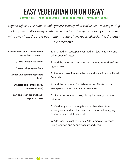## <span id="page-20-0"></span>EASY VEGETARIAN ONION GRAVY

**SERVES 4 TO 5 PREP: 10 MINUTES COOK: 25 MINUTES TOTAL: 35 MINUTES**

*Vegans, rejoice! This super simple gravy is exactly what you've been missing during holiday meals. It's so easy to whip up a batch - just keep those saucy carnivorous mitts away from the gravy boat – many readers have reported preferring this gravy* 

*over their own.* 

| 1 tablespoon plus 4 tablespoons<br>vegan butter, divided | 1. In a medium saucepan over medium-low heat, melt one<br>tablespoon of butter.                                                                          |
|----------------------------------------------------------|----------------------------------------------------------------------------------------------------------------------------------------------------------|
| 1/2 cup finely diced onion                               | <b>2.</b> Add the onion and saute for 10 – 15 minutes until soft and<br>light brown.                                                                     |
| 1/4 cup all-purpose flour                                |                                                                                                                                                          |
| 2 cups low-sodium vegetable<br>broth                     | <b>3.</b> Remove the onion from the pan and place in a small bowl.<br>Set aside.                                                                         |
| 1 tablespoon Tamari or soy<br>sauce (optional)           | 4. Add the remaining four tablespoons of butter to the<br>saucepan and melt over medium-low heat.                                                        |
| Salt and fresh ground black<br>pepper to taste           | 5. Stir in the flour and cook, stirring frequently, for three<br>minutes.                                                                                |
|                                                          | 6. Gradually stir in the vegetable broth and continue<br>stirring, over medium-low heat, until thickened to a gravy<br>consistency, about 3 - 4 minutes. |
|                                                          | 7. Add back the cooked onions. Add Tamari or soy sauce if<br>using. Add salt and pepper to taste and serve.                                              |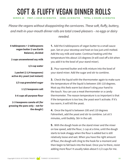<span id="page-21-0"></span>SOFT & FLUFFY VEGAN DINNER ROLLS

**SERVES 20 PREP: 1 HOUR 50 MINUTES COOK: 20 MINUTES TOTAL: 2 HOURS 10 MINUTES**

*Please the vegans without disappointing the carnivores. These soft, fluffy, buttery, and melt-in-your-mouth dinner rolls are total crowd-pleasers – no eggs or dairy* 

*needed.*

**6 tablespoons + 2 tablespoons vegan butter (I use Earth Balance), divided**

**2 cups unsweetened soy milk**

**1/2 cup water**

**1 packet (2 1/4 teaspoons) active dry yeast (not instant)**

**1/3 cup granulated sugar**

**1 1/2 teaspoons salt**

**5-6 cups all-purpose flour**

**2-3 teaspoons canola oil (for greasing the pans only – not for the dough!)**

**1.** Add the 6 tablespoons of vegan butter to a small sauce pan. Set on your stovetop and heat on low just until melted. Add the soy milk and water. Continue heating until the temperature hits about 115 degrees (it will cool off a bit when you add it to the bowl of your stand mixer).

**2.** Pour warmed butter and milk mixture into the bowl of your stand mixer. Add the sugar and stir to combine.

**3.** Check the liquid with the thermometer again to make sure the temperature of the liquid is between 100-110 degrees. Most say this feels warm but doesn't sting your hand to the touch. You can use a meat thermometer or a candy thermometer. The reason temperature is so important is that if the temperature is too low, the yeast won't activate. If it's too warm, it will kill the yeast.

**4.** Once the liquid is between 100 and 110 degrees Fahrenheit, add the yeast and stir to combine. Let sit 5 minutes, until bubbly. Stir in the salt.

**5.** With the dough hook on the stand mixer and the mixer on low speed, add the flour, 1 cup at a time, until the dough starts to look shaggy when the flour is added but is still relatively loose and wet. When you have the right amount of flour, the dough will cling to the hook for a moment and then begin to fall back into the bowl. Once you're there, resist adding more flour! It usually takes about 5 1/2 cups for me.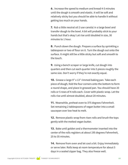**6.** Increase the speed to medium and knead 4-5 minutes until the dough is smooth and elastic. It will be soft and relatively sticky but you should be able to handle it without getting too much on your hands.

**7.** Rub a little neutral oil (I use canola) in a large bowl and transfer dough to the bowl. A bit will probably stick to your hands but that's okay! Let rise until doubled in size, 30 minutes to 1 hour.

**8.** Punch down the dough. Prepare a surface by sprinkling a tablespoon or two of flour on it. Turn the dough out onto the surface. It might still be a little sticky but soft and smooth to the touch.

**9.** Using a bench scraper or large knife, cut dough into quarters and then cut each quarter into 5 pieces roughly the same size. Don't worry if they're not exactly equal.

**10.** Grease a large 9″ x 13″ rimmed baking pan. Take each piece of dough, fold the four corners onto the bottom to form a round shape, and place in greased pan. You should have 20 rolls or 5 rows of 4 rolls each. Cover with plastic wrap. Let the rolls rise until almost doubled, about 20 minutes.

**11.** Meanwhile, preheat oven to 375 degrees Fahrenheit. Set remaining 2 tablespoons of vegan butter into a small saucepan over low heat to melt.

**12.** Remove plastic wrap from risen rolls and brush the tops gently with the melted vegan butter.

**13.** Bake until golden and a thermometer inserted into the center of the rolls registers at about 195 degrees Fahrenheit, 25 to 35 minutes.

**14.** Remove from oven and let cool a bit. Enjoy immediately or serve later. Rolls keep at room temperature for about 5 days in a sealed zipper bag. They also freeze well.